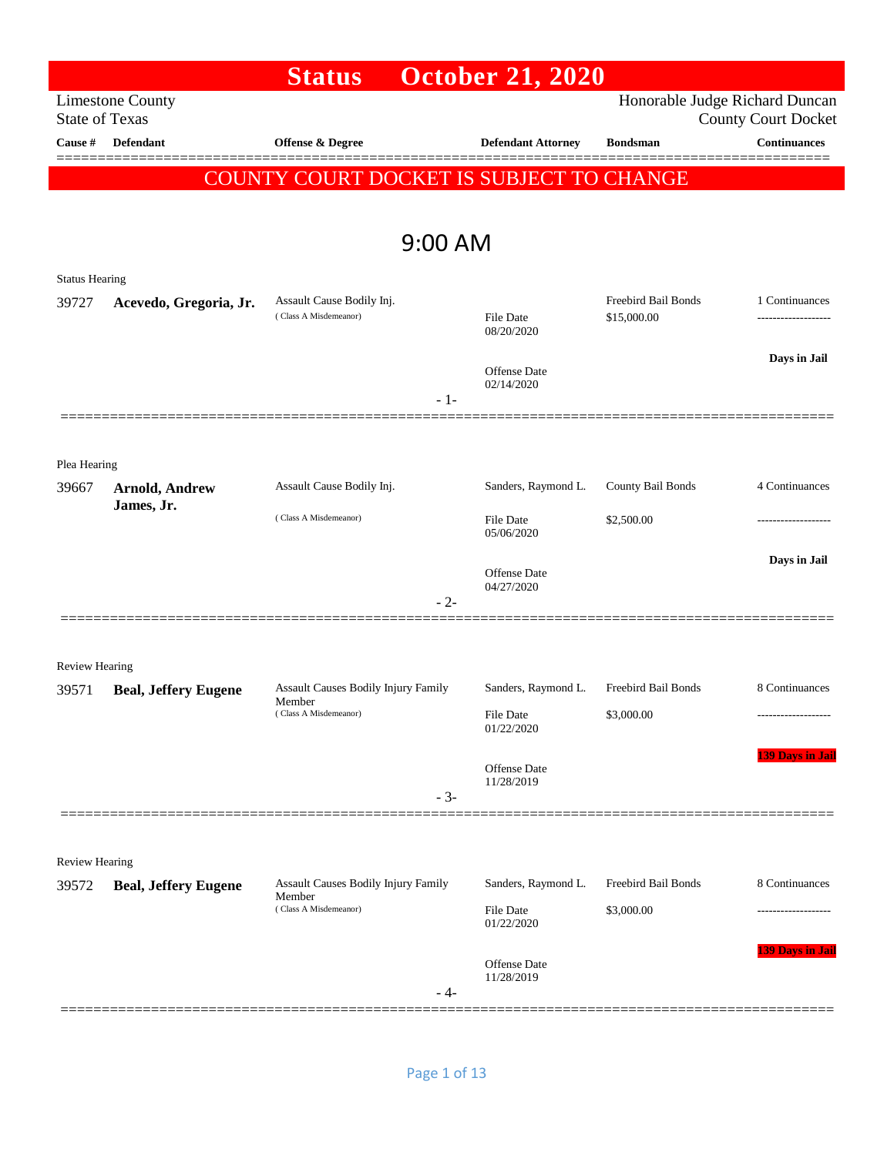|                       |                             | <b>Status</b>                                      |         | <b>October 21, 2020</b>    |                                    |                                                              |
|-----------------------|-----------------------------|----------------------------------------------------|---------|----------------------------|------------------------------------|--------------------------------------------------------------|
| <b>State of Texas</b> | <b>Limestone County</b>     |                                                    |         |                            |                                    | Honorable Judge Richard Duncan<br><b>County Court Docket</b> |
| Cause #               | <b>Defendant</b>            | Offense & Degree                                   |         | <b>Defendant Attorney</b>  | <b>Bondsman</b>                    | <b>Continuances</b>                                          |
|                       |                             | COUNTY COURT DOCKET IS SUBJECT TO CHANGE           |         |                            |                                    |                                                              |
|                       |                             |                                                    |         |                            |                                    |                                                              |
|                       |                             |                                                    | 9:00 AM |                            |                                    |                                                              |
| <b>Status Hearing</b> |                             |                                                    |         |                            |                                    |                                                              |
| 39727                 | Acevedo, Gregoria, Jr.      | Assault Cause Bodily Inj.<br>(Class A Misdemeanor) |         | File Date<br>08/20/2020    | Freebird Bail Bonds<br>\$15,000.00 | 1 Continuances                                               |
|                       |                             |                                                    |         | Offense Date<br>02/14/2020 |                                    | Days in Jail                                                 |
|                       |                             |                                                    | $-1-$   |                            |                                    |                                                              |
|                       |                             |                                                    |         |                            |                                    |                                                              |
| Plea Hearing          |                             |                                                    |         |                            |                                    |                                                              |
| 39667                 | <b>Arnold, Andrew</b>       | Assault Cause Bodily Inj.                          |         | Sanders, Raymond L.        | County Bail Bonds                  | 4 Continuances                                               |
|                       | James, Jr.                  | (Class A Misdemeanor)                              |         | File Date<br>05/06/2020    | \$2,500.00                         | ----------------                                             |
|                       |                             |                                                    |         | Offense Date<br>04/27/2020 |                                    | Days in Jail                                                 |
|                       |                             |                                                    | $-2-$   |                            |                                    |                                                              |
|                       |                             |                                                    |         |                            |                                    |                                                              |
| Review Hearing        |                             |                                                    |         |                            |                                    |                                                              |
| 39571                 | <b>Beal, Jeffery Eugene</b> | Assault Causes Bodily Injury Family<br>Member      |         | Sanders, Raymond L.        | Freebird Bail Bonds                | 8 Continuances                                               |
|                       |                             | (Class A Misdemeanor)                              |         | File Date<br>01/22/2020    | \$3,000.00                         |                                                              |
|                       |                             |                                                    |         | Offense Date<br>11/28/2019 |                                    | <b>139 Days in Jail</b>                                      |
|                       |                             |                                                    | $-3-$   |                            |                                    |                                                              |
|                       |                             |                                                    |         |                            |                                    |                                                              |
| <b>Review Hearing</b> |                             |                                                    |         |                            |                                    |                                                              |
| 39572                 | <b>Beal, Jeffery Eugene</b> | Assault Causes Bodily Injury Family<br>Member      |         | Sanders, Raymond L.        | Freebird Bail Bonds                | 8 Continuances                                               |
|                       |                             | (Class A Misdemeanor)                              |         | File Date<br>01/22/2020    | \$3,000.00                         |                                                              |
|                       |                             |                                                    | - 4-    | Offense Date<br>11/28/2019 |                                    | 139 Days in Jail                                             |
|                       |                             |                                                    |         |                            |                                    |                                                              |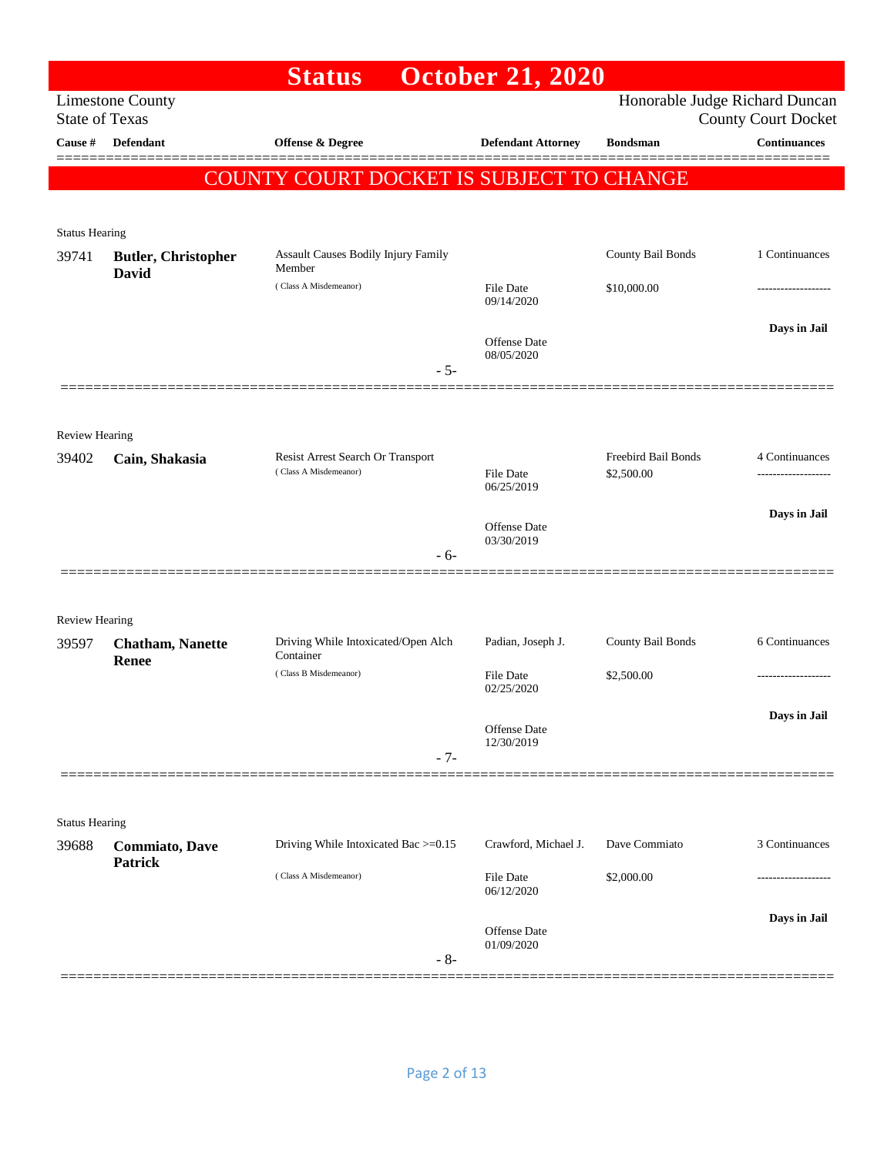|                                |                                  | <b>Status</b>                                    | <b>October 21, 2020</b>        |                     |                                                   |
|--------------------------------|----------------------------------|--------------------------------------------------|--------------------------------|---------------------|---------------------------------------------------|
| <b>State of Texas</b>          | <b>Limestone County</b>          |                                                  |                                |                     | Honorable Judge Richard Duncan                    |
| <b>Cause #</b>                 | <b>Defendant</b>                 | Offense & Degree                                 | <b>Defendant Attorney</b>      | <b>Bondsman</b>     | <b>County Court Docket</b><br><b>Continuances</b> |
|                                |                                  | COUNTY COURT DOCKET IS SUBJECT TO CHANGE         |                                |                     |                                                   |
|                                |                                  |                                                  |                                |                     |                                                   |
| <b>Status Hearing</b>          |                                  |                                                  |                                |                     |                                                   |
| 39741                          | <b>Butler, Christopher</b>       | Assault Causes Bodily Injury Family<br>Member    |                                | County Bail Bonds   | 1 Continuances                                    |
|                                | David                            | (Class A Misdemeanor)                            | <b>File Date</b><br>09/14/2020 | \$10,000.00         |                                                   |
|                                |                                  |                                                  | <b>Offense</b> Date            |                     | Days in Jail                                      |
|                                |                                  | $-5-$                                            | 08/05/2020                     |                     |                                                   |
| <b>Review Hearing</b>          |                                  |                                                  |                                |                     |                                                   |
| 39402                          | Cain, Shakasia                   | Resist Arrest Search Or Transport                |                                | Freebird Bail Bonds | 4 Continuances                                    |
|                                |                                  | (Class A Misdemeanor)                            | <b>File Date</b><br>06/25/2019 | \$2,500.00          |                                                   |
|                                |                                  |                                                  | Offense Date<br>03/30/2019     |                     | Days in Jail                                      |
|                                |                                  | $-6-$                                            |                                |                     |                                                   |
|                                |                                  |                                                  |                                |                     |                                                   |
| <b>Review Hearing</b>          |                                  |                                                  |                                |                     |                                                   |
| 39597                          | <b>Chatham, Nanette</b><br>Renee | Driving While Intoxicated/Open Alch<br>Container | Padian, Joseph J.              | County Bail Bonds   | 6 Continuances                                    |
|                                |                                  | (Class B Misdemeanor)                            | File Date<br>02/25/2020        | \$2,500.00          |                                                   |
|                                |                                  |                                                  |                                |                     | Days in Jail                                      |
|                                |                                  | $-7-$                                            | Offense Date<br>12/30/2019     |                     |                                                   |
|                                |                                  |                                                  |                                |                     |                                                   |
|                                |                                  |                                                  |                                |                     |                                                   |
| <b>Status Hearing</b><br>39688 | <b>Commiato</b> , Dave           | Driving While Intoxicated Bac >=0.15             | Crawford, Michael J.           | Dave Commiato       | 3 Continuances                                    |
|                                | <b>Patrick</b>                   | (Class A Misdemeanor)                            | File Date                      | \$2,000.00          |                                                   |
|                                |                                  |                                                  | 06/12/2020                     |                     |                                                   |
|                                |                                  |                                                  | Offense Date                   |                     | Days in Jail                                      |
|                                |                                  | $-8-$                                            | 01/09/2020                     |                     |                                                   |
|                                |                                  |                                                  |                                |                     |                                                   |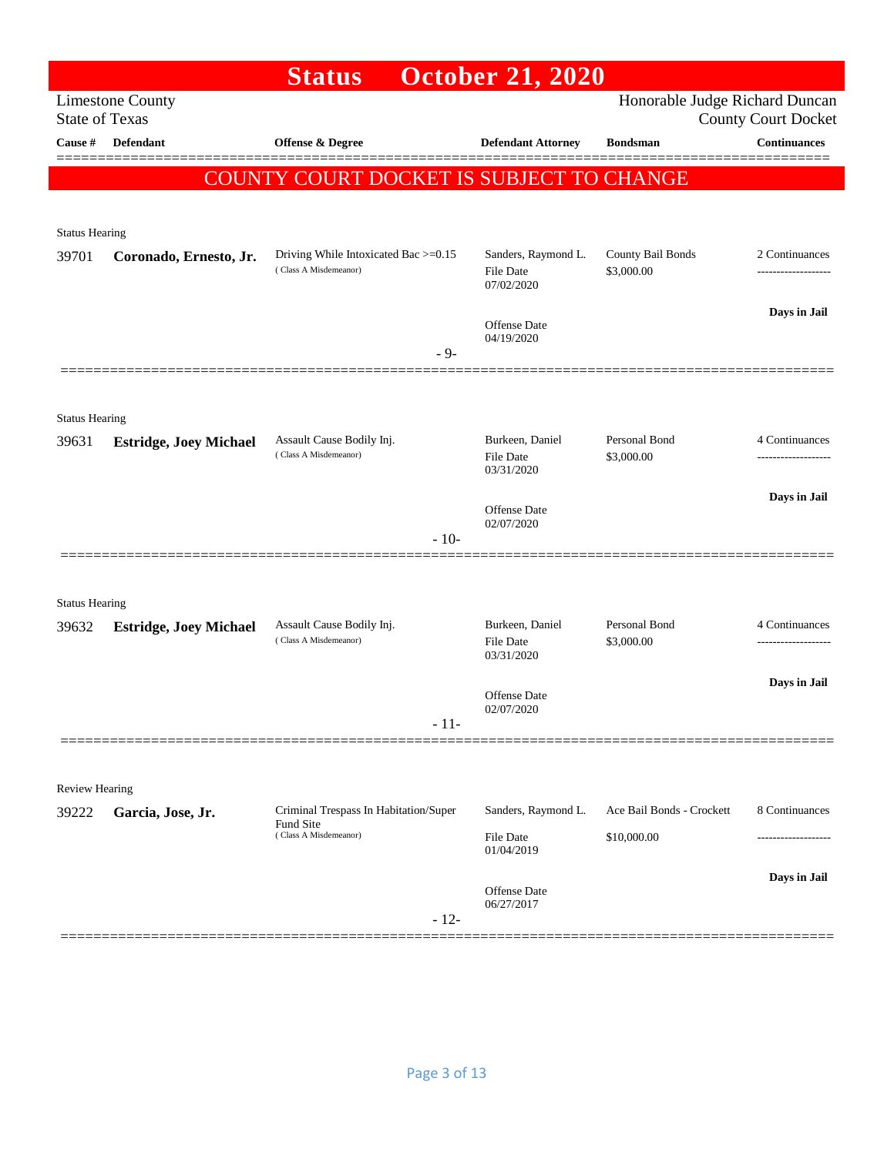|                       |                               | <b>Status</b>                                                 | <b>October 21, 2020</b>      |                                 |                                                   |
|-----------------------|-------------------------------|---------------------------------------------------------------|------------------------------|---------------------------------|---------------------------------------------------|
| <b>State of Texas</b> | <b>Limestone County</b>       |                                                               |                              | Honorable Judge Richard Duncan  |                                                   |
| Cause $\#$            | Defendant                     | <b>Offense &amp; Degree</b>                                   | <b>Defendant Attorney</b>    | <b>Bondsman</b>                 | <b>County Court Docket</b><br><b>Continuances</b> |
|                       |                               |                                                               |                              |                                 |                                                   |
|                       |                               | COUNTY COURT DOCKET IS SUBJECT TO CHANGE                      |                              |                                 |                                                   |
|                       |                               |                                                               |                              |                                 |                                                   |
| <b>Status Hearing</b> |                               |                                                               | Sanders, Raymond L.          |                                 |                                                   |
| 39701                 | Coronado, Ernesto, Jr.        | Driving While Intoxicated Bac >=0.15<br>(Class A Misdemeanor) | File Date<br>07/02/2020      | County Bail Bonds<br>\$3,000.00 | 2 Continuances                                    |
|                       |                               |                                                               |                              |                                 | Days in Jail                                      |
|                       |                               |                                                               | Offense Date<br>04/19/2020   |                                 |                                                   |
|                       |                               | $-9-$                                                         |                              |                                 |                                                   |
|                       |                               |                                                               |                              |                                 |                                                   |
| <b>Status Hearing</b> |                               |                                                               |                              |                                 |                                                   |
| 39631                 | <b>Estridge, Joey Michael</b> | Assault Cause Bodily Inj.                                     | Burkeen, Daniel              | Personal Bond                   | 4 Continuances                                    |
|                       |                               | (Class A Misdemeanor)                                         | File Date<br>03/31/2020      | \$3,000.00                      |                                                   |
|                       |                               |                                                               |                              |                                 | Days in Jail                                      |
|                       |                               |                                                               | Offense Date<br>02/07/2020   |                                 |                                                   |
|                       |                               | $-10-$                                                        |                              |                                 |                                                   |
|                       |                               |                                                               |                              |                                 |                                                   |
| <b>Status Hearing</b> |                               |                                                               |                              |                                 |                                                   |
| 39632                 | <b>Estridge, Joey Michael</b> | Assault Cause Bodily Inj.<br>(Class A Misdemeanor)            | Burkeen, Daniel<br>File Date | Personal Bond<br>\$3,000.00     | 4 Continuances<br>-------------------             |
|                       |                               |                                                               | 03/31/2020                   |                                 |                                                   |
|                       |                               |                                                               | <b>Offense Date</b>          |                                 | Days in Jail                                      |
|                       |                               | $-11-$                                                        | 02/07/2020                   |                                 |                                                   |
|                       |                               |                                                               |                              |                                 |                                                   |
|                       |                               |                                                               |                              |                                 |                                                   |
| <b>Review Hearing</b> |                               |                                                               |                              |                                 |                                                   |
| 39222                 | Garcia, Jose, Jr.             | Criminal Trespass In Habitation/Super<br>Fund Site            | Sanders, Raymond L.          | Ace Bail Bonds - Crockett       | 8 Continuances                                    |
|                       |                               | (Class A Misdemeanor)                                         | File Date<br>01/04/2019      | \$10,000.00                     |                                                   |
|                       |                               |                                                               |                              |                                 | Days in Jail                                      |
|                       |                               |                                                               | Offense Date<br>06/27/2017   |                                 |                                                   |
|                       |                               | $-12-$                                                        |                              |                                 |                                                   |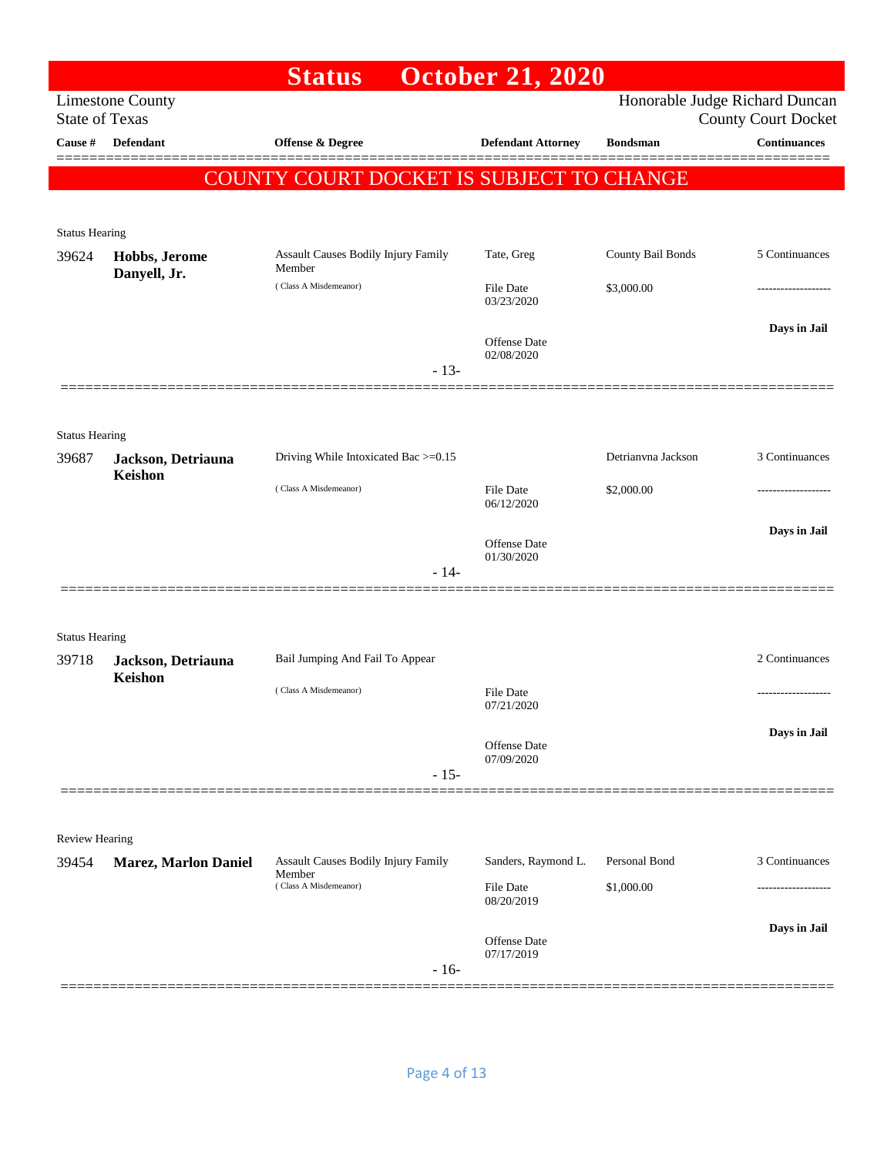|                                |                               | <b>Status</b>                                        | <b>October 21, 2020</b>           |                    |                                                              |
|--------------------------------|-------------------------------|------------------------------------------------------|-----------------------------------|--------------------|--------------------------------------------------------------|
| <b>State of Texas</b>          | <b>Limestone County</b>       |                                                      |                                   |                    | Honorable Judge Richard Duncan<br><b>County Court Docket</b> |
| Cause #                        | <b>Defendant</b>              | <b>Offense &amp; Degree</b>                          | <b>Defendant Attorney</b>         | <b>Bondsman</b>    | <b>Continuances</b>                                          |
|                                |                               | COUNTY COURT DOCKET IS SUBJECT TO CHANGE             |                                   |                    |                                                              |
|                                |                               |                                                      |                                   |                    |                                                              |
| <b>Status Hearing</b>          |                               |                                                      |                                   |                    |                                                              |
| 39624                          | Hobbs, Jerome<br>Danyell, Jr. | Assault Causes Bodily Injury Family<br>Member        | Tate, Greg                        | County Bail Bonds  | 5 Continuances                                               |
|                                |                               | (Class A Misdemeanor)                                | File Date<br>03/23/2020           | \$3,000.00         | ---------------                                              |
|                                |                               |                                                      |                                   |                    | Days in Jail                                                 |
|                                |                               |                                                      | <b>Offense Date</b><br>02/08/2020 |                    |                                                              |
|                                |                               | $-13-$                                               |                                   |                    |                                                              |
|                                |                               |                                                      |                                   |                    |                                                              |
| <b>Status Hearing</b><br>39687 | Jackson, Detriauna            | Driving While Intoxicated Bac >=0.15                 |                                   | Detrianyna Jackson | 3 Continuances                                               |
|                                | Keishon                       | (Class A Misdemeanor)                                | File Date                         | \$2,000.00         |                                                              |
|                                |                               |                                                      | 06/12/2020                        |                    |                                                              |
|                                |                               |                                                      | Offense Date                      |                    | Days in Jail                                                 |
|                                |                               | $-14-$                                               | 01/30/2020                        |                    |                                                              |
|                                |                               |                                                      |                                   |                    |                                                              |
| <b>Status Hearing</b>          |                               |                                                      |                                   |                    |                                                              |
| 39718                          | Jackson, Detriauna            | Bail Jumping And Fail To Appear                      |                                   |                    | 2 Continuances                                               |
|                                | Keishon                       | (Class A Misdemeanor)                                | File Date                         |                    |                                                              |
|                                |                               |                                                      | 07/21/2020                        |                    | Days in Jail                                                 |
|                                |                               |                                                      | Offense Date<br>07/09/2020        |                    |                                                              |
|                                |                               | $-15-$                                               |                                   |                    |                                                              |
|                                |                               |                                                      |                                   |                    |                                                              |
| <b>Review Hearing</b>          |                               |                                                      |                                   |                    |                                                              |
| 39454                          | <b>Marez, Marlon Daniel</b>   | <b>Assault Causes Bodily Injury Family</b><br>Member | Sanders, Raymond L.               | Personal Bond      | 3 Continuances                                               |
|                                |                               | (Class A Misdemeanor)                                | File Date<br>08/20/2019           | \$1,000.00         |                                                              |
|                                |                               |                                                      | Offense Date                      |                    | Days in Jail                                                 |
|                                |                               | $-16-$                                               | 07/17/2019                        |                    |                                                              |
|                                |                               |                                                      |                                   |                    |                                                              |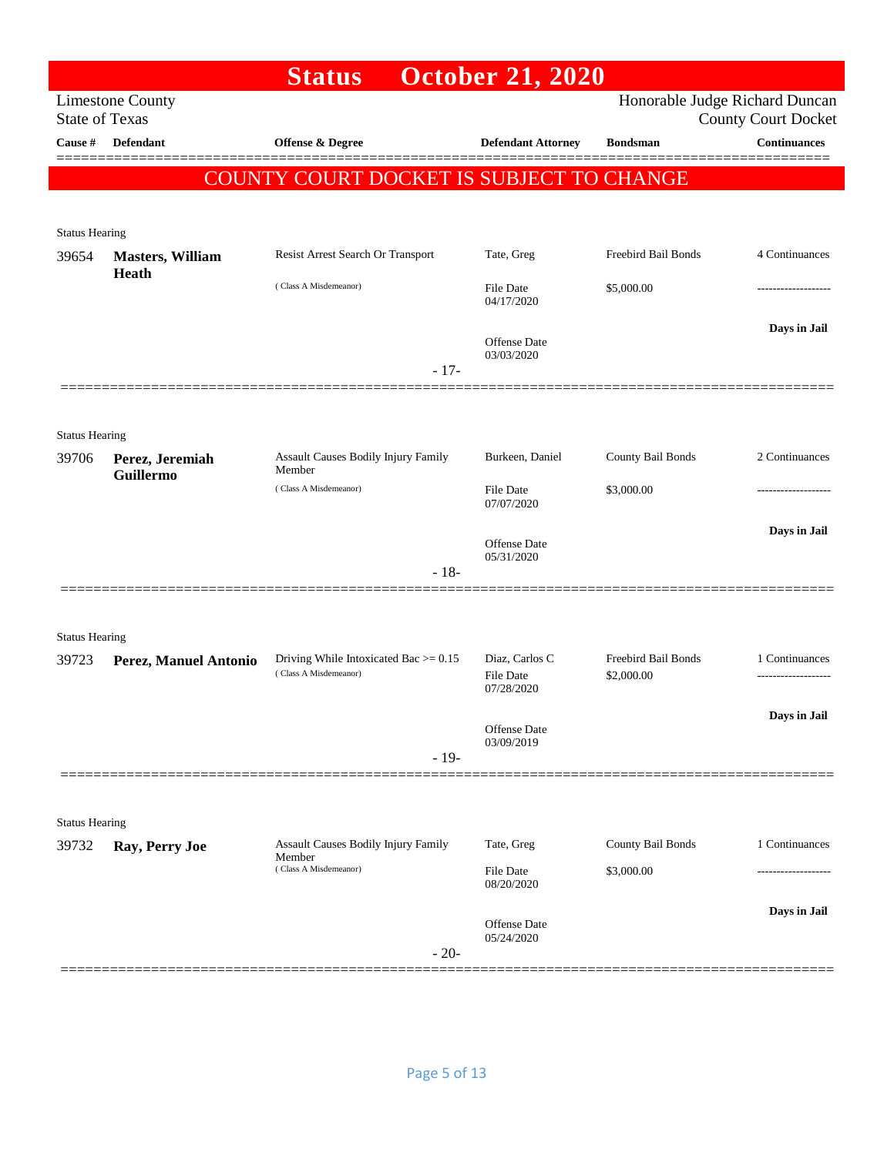|                                |                              | <b>Status</b>                                                       | <b>October 21, 2020</b>                   |                                   |                                       |
|--------------------------------|------------------------------|---------------------------------------------------------------------|-------------------------------------------|-----------------------------------|---------------------------------------|
| <b>State of Texas</b>          | <b>Limestone County</b>      |                                                                     |                                           | Honorable Judge Richard Duncan    | <b>County Court Docket</b>            |
| Cause #                        | Defendant                    | <b>Offense &amp; Degree</b>                                         | <b>Defendant Attorney</b>                 | <b>Bondsman</b>                   | <b>Continuances</b>                   |
|                                |                              | COUNTY COURT DOCKET IS SUBJECT TO CHANGE                            |                                           |                                   |                                       |
| <b>Status Hearing</b>          |                              |                                                                     |                                           |                                   |                                       |
| 39654                          | <b>Masters, William</b>      | Resist Arrest Search Or Transport                                   | Tate, Greg                                | Freebird Bail Bonds               | 4 Continuances                        |
|                                | Heath                        | (Class A Misdemeanor)                                               | File Date<br>04/17/2020                   | \$5,000.00                        |                                       |
|                                |                              | $-17-$                                                              | Offense Date<br>03/03/2020                |                                   | Days in Jail                          |
|                                |                              |                                                                     |                                           |                                   |                                       |
| <b>Status Hearing</b><br>39706 | Perez, Jeremiah<br>Guillermo | Assault Causes Bodily Injury Family<br>Member                       | Burkeen, Daniel                           | County Bail Bonds                 | 2 Continuances                        |
|                                |                              | (Class A Misdemeanor)                                               | <b>File Date</b><br>07/07/2020            | \$3,000.00                        |                                       |
|                                |                              |                                                                     | Offense Date<br>05/31/2020                |                                   | Days in Jail                          |
|                                |                              | $-18-$                                                              |                                           |                                   |                                       |
| <b>Status Hearing</b>          |                              |                                                                     |                                           |                                   |                                       |
| 39723                          | Perez, Manuel Antonio        | Driving While Intoxicated Bac $\ge$ = 0.15<br>(Class A Misdemeanor) | Diaz, Carlos C<br>File Date<br>07/28/2020 | Freebird Bail Bonds<br>\$2,000.00 | 1 Continuances<br>------------------- |
|                                |                              | $-19-$                                                              | Offense Date<br>03/09/2019                |                                   | Days in Jail                          |
|                                |                              |                                                                     |                                           |                                   |                                       |
| <b>Status Hearing</b>          |                              |                                                                     |                                           |                                   |                                       |
| 39732                          | Ray, Perry Joe               | <b>Assault Causes Bodily Injury Family</b><br>Member                | Tate, Greg                                | County Bail Bonds                 | 1 Continuances                        |
|                                |                              | (Class A Misdemeanor)                                               | File Date<br>08/20/2020                   | \$3,000.00                        |                                       |
|                                |                              |                                                                     | Offense Date<br>05/24/2020                |                                   | Days in Jail                          |
|                                |                              | $-20-$                                                              |                                           |                                   |                                       |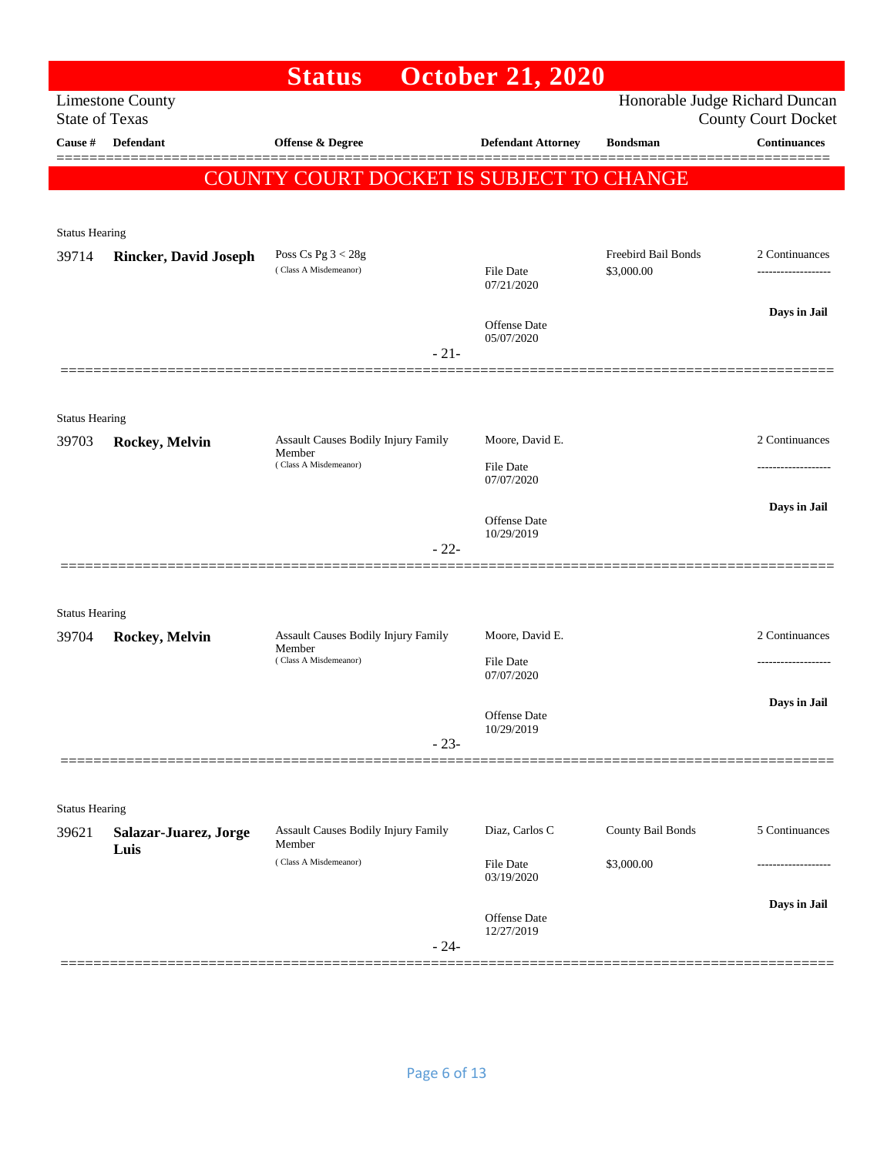## **Status October 21, 2020**  Limestone County Honorable Judge Richard Duncan State of Texas County Court Docket **Cause # Defendant Offense & Degree Defendant Attorney Bondsman Continuances** ============================================================================================== COUNTY COURT DOCKET IS SUBJECT TO CHANGE Status Hearing 39714 **Rincker, David Joseph** Poss Cs Pg 3 < 28g Freebird Bail Bonds 2 Continuances<br>
Class A Misdemeanor) File Date \$3,000.00 <sup>File Date</sup> 3.000.00 <sup>11</sup> ( Class A Misdemeanor) File Date \$3,000.00 ------------------- 07/21/2020 **Days in Jail**  Offense Date 05/07/2020 - 21- ============================================================================================== Status Hearing 39703 **Rockey, Melvin** Assault Causes Bodily Injury Family Member Moore, David E. 2 Continuances ( Class A Misdemeanor) File Date 07/07/2020 **Days in Jail**  Offense Date 10/29/2019 - 22- ============================================================================================== Status Hearing 39704 **Rockey, Melvin** Assault Causes Bodily Injury Family Member Moore, David E. 2 Continuances ( Class A Misdemeanor) File Date ------------------- 07/07/2020 **Days in Jail**  Offense Date 10/29/2019 - 23- ============================================================================================== Status Hearing 39621 **Salazar-Juarez, Jorge Luis** Assault Causes Bodily Injury Family Member Diaz, Carlos C County Bail Bonds 5 Continuances ( Class A Misdemeanor) File Date \$3,000.00 03/19/2020 **Days in Jail**  Offense Date 12/27/2019 - 24- ==============================================================================================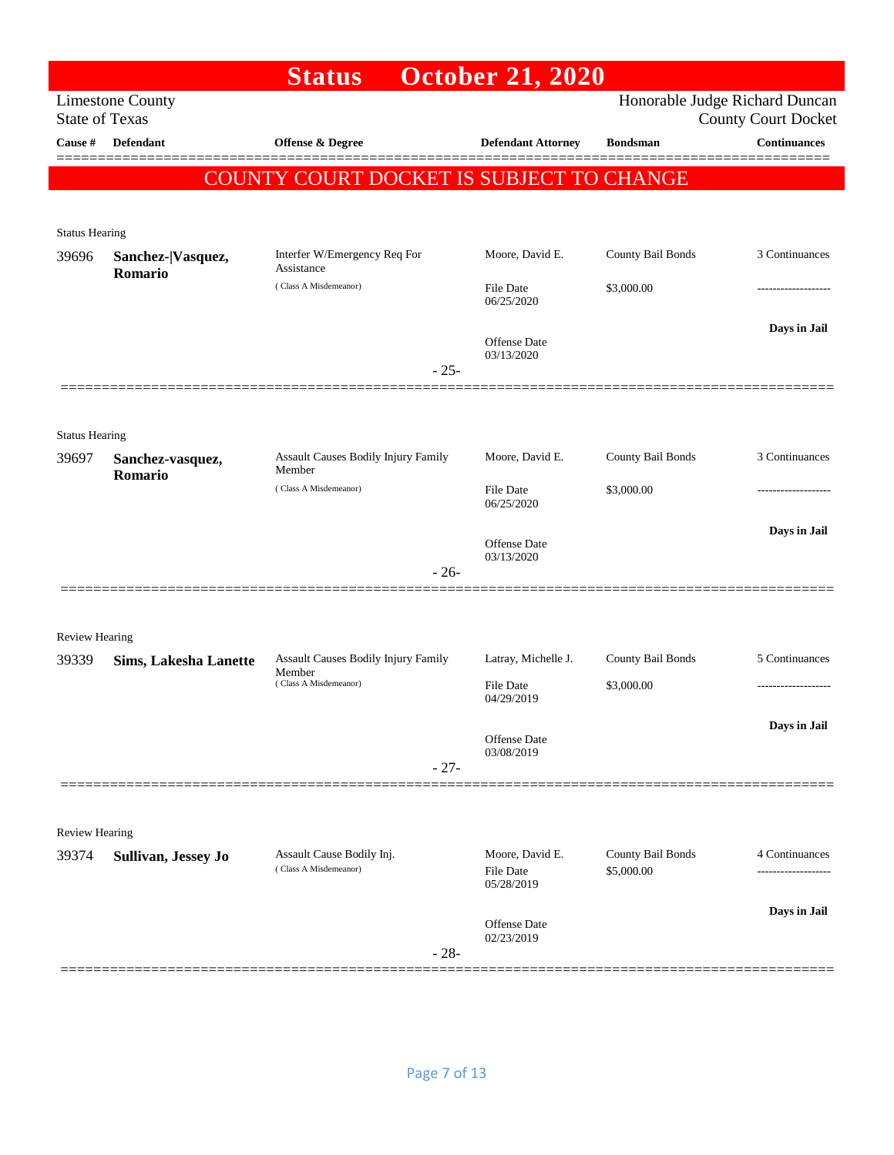## **Status October 21, 2020**  Limestone County Honorable Judge Richard Duncan State of Texas County Court Docket **Cause # Defendant Offense & Degree Defendant Attorney Bondsman Continuances** ============================================================================================== COUNTY COURT DOCKET IS SUBJECT TO CHANGE Status Hearing 39696 **Sanchez-|Vasquez, Romario** Interfer W/Emergency Req For Assistance Moore, David E. County Bail Bonds 3 Continuances  $( Class A Misdemeanor)$  File Date  $$3,000.00$ 06/25/2020 **Days in Jail**  Offense Date 03/13/2020 - 25- ============================================================================================== Status Hearing 39697 **Sanchez-vasquez, Romario** Assault Causes Bodily Injury Family Member Moore, David E. County Bail Bonds 3 Continuances  $( Class A Misdemeanor)$   $File Date$   $$3,000.00$ 06/25/2020 **Days in Jail**  Offense Date 03/13/2020 - 26- ============================================================================================== Review Hearing 39339 **Sims, Lakesha Lanette** Assault Causes Bodily Injury Family Member Latray, Michelle J. County Bail Bonds 5 Continuances  $( Class A Misdemeanor)$   $File Date$   $$3,000.00$ 04/29/2019 **Days in Jail**  Offense Date 03/08/2019 - 27- ============================================================================================== Review Hearing 39374 **Sullivan, Jessey Jo** Assault Cause Bodily Inj. Moore, David E. County Bail Bonds 4 Continuances<br>
(Class A Misdemeanor) File Date \$5,000.00 (Class A Misdemeanor) ( Class A Misdemeanor) File Date \$5,000.00 ------------------- 05/28/2019 **Days in Jail**  Offense Date 02/23/2019 - 28- ==============================================================================================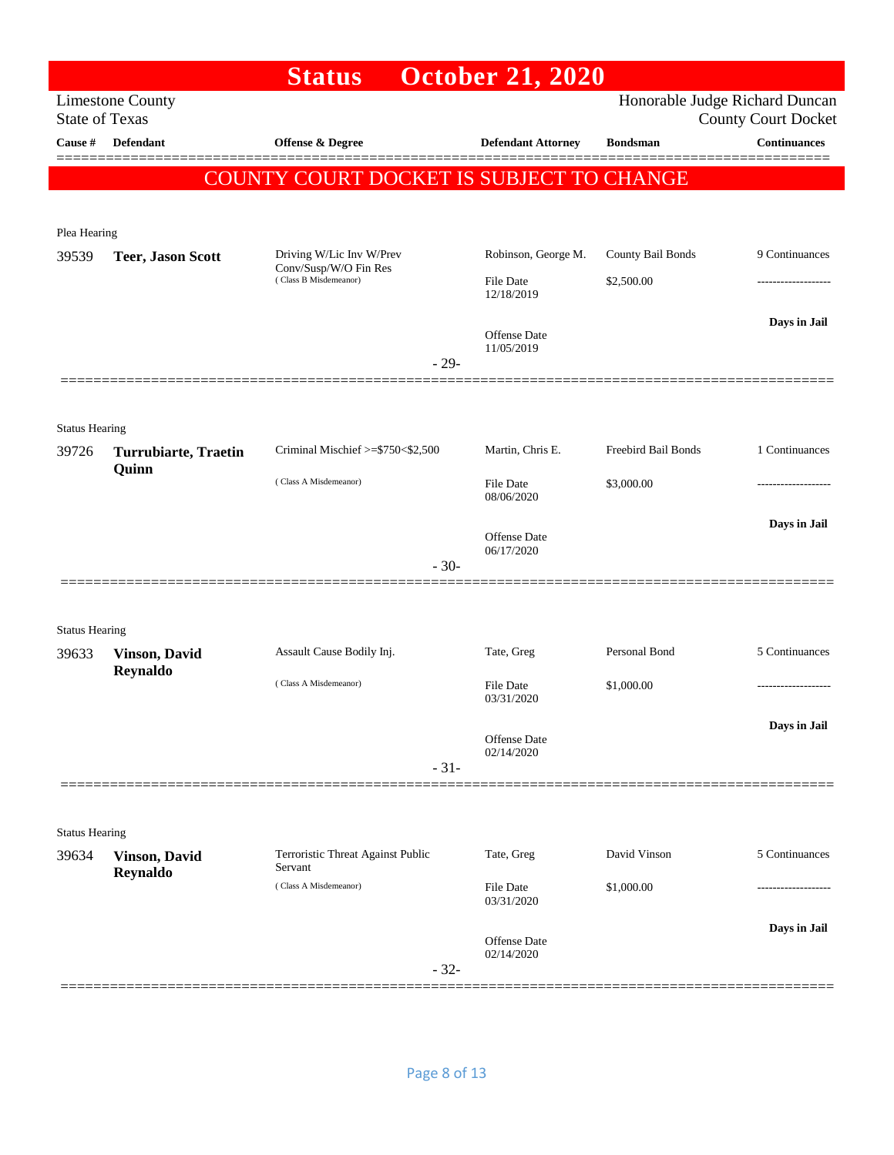|                                |                                  | <b>Status</b>                                      | <b>October 21, 2020</b>           |                     |                                                              |
|--------------------------------|----------------------------------|----------------------------------------------------|-----------------------------------|---------------------|--------------------------------------------------------------|
| <b>State of Texas</b>          | <b>Limestone County</b>          |                                                    |                                   |                     | Honorable Judge Richard Duncan<br><b>County Court Docket</b> |
| Cause #                        | <b>Defendant</b>                 | Offense & Degree                                   | <b>Defendant Attorney</b>         | <b>Bondsman</b>     | <b>Continuances</b>                                          |
|                                |                                  | COUNTY COURT DOCKET IS SUBJECT TO CHANGE           |                                   |                     |                                                              |
| Plea Hearing                   |                                  |                                                    |                                   |                     |                                                              |
| 39539                          | <b>Teer, Jason Scott</b>         | Driving W/Lic Inv W/Prev                           | Robinson, George M.               | County Bail Bonds   | 9 Continuances                                               |
|                                |                                  | Conv/Susp/W/O Fin Res<br>(Class B Misdemeanor)     | File Date<br>12/18/2019           | \$2,500.00          | .                                                            |
|                                |                                  |                                                    | <b>Offense Date</b><br>11/05/2019 |                     | Days in Jail                                                 |
|                                |                                  | $-29-$                                             |                                   |                     |                                                              |
|                                |                                  |                                                    |                                   |                     |                                                              |
| <b>Status Hearing</b><br>39726 | <b>Turrubiarte, Traetin</b>      | Criminal Mischief >=\$750<\$2,500                  | Martin, Chris E.                  | Freebird Bail Bonds | 1 Continuances                                               |
|                                | Quinn                            | (Class A Misdemeanor)                              | <b>File Date</b><br>08/06/2020    | \$3,000.00          |                                                              |
|                                |                                  |                                                    | Offense Date                      |                     | Days in Jail                                                 |
|                                |                                  | $-30-$                                             | 06/17/2020                        |                     |                                                              |
|                                |                                  |                                                    |                                   |                     |                                                              |
| <b>Status Hearing</b>          |                                  |                                                    |                                   | Personal Bond       |                                                              |
| 39633                          | <b>Vinson, David</b><br>Reynaldo | Assault Cause Bodily Inj.<br>(Class A Misdemeanor) | Tate, Greg<br><b>File Date</b>    |                     | 5 Continuances                                               |
|                                |                                  |                                                    | 03/31/2020                        | \$1,000.00          | -------------------                                          |
|                                |                                  | $-31-$                                             | Offense Date<br>02/14/2020        |                     | Days in Jail                                                 |
|                                |                                  |                                                    |                                   |                     |                                                              |
| <b>Status Hearing</b>          |                                  |                                                    |                                   |                     |                                                              |
| 39634                          | <b>Vinson, David</b><br>Reynaldo | Terroristic Threat Against Public<br>Servant       | Tate, Greg                        | David Vinson        | 5 Continuances                                               |
|                                |                                  | (Class A Misdemeanor)                              | File Date<br>03/31/2020           | \$1,000.00          | ----------------                                             |
|                                |                                  |                                                    | Offense Date<br>02/14/2020        |                     | Days in Jail                                                 |
|                                |                                  | $-32-$                                             |                                   |                     |                                                              |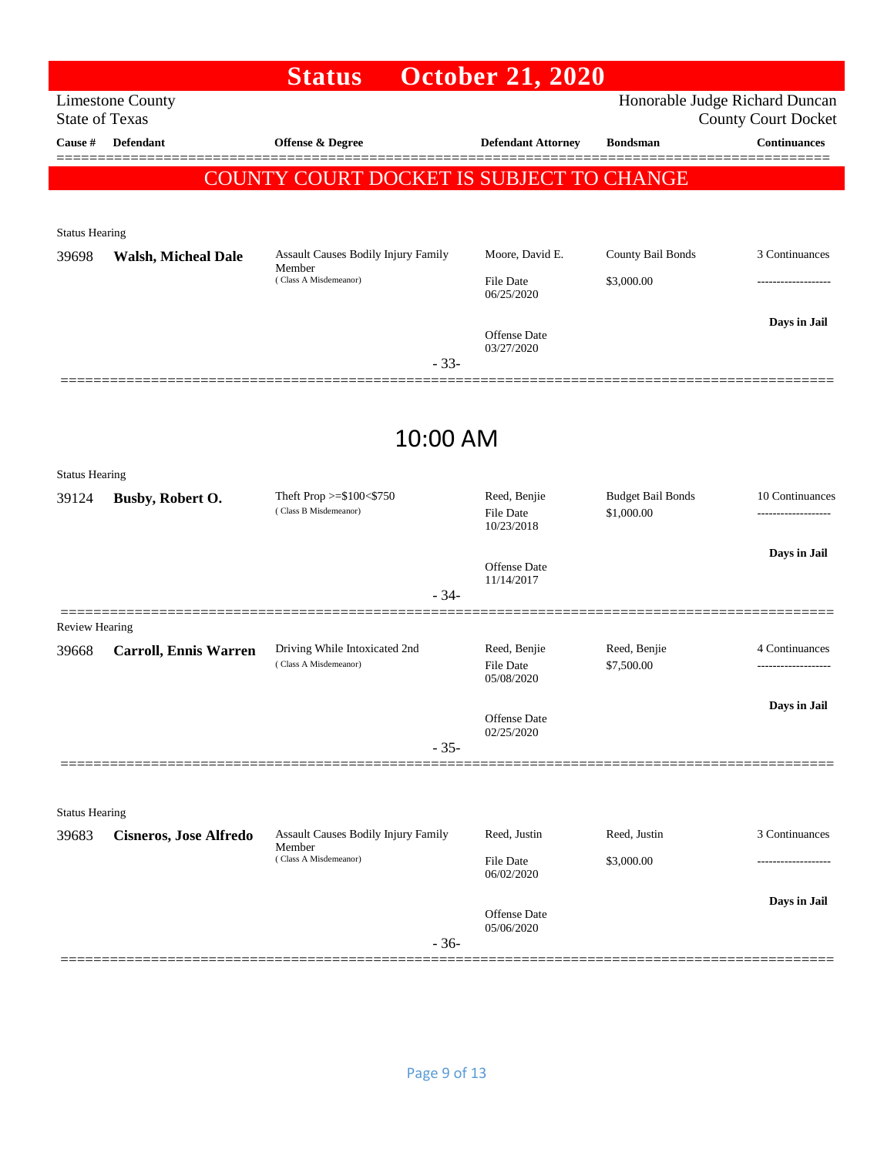|                                  |                               | <b>Status</b>                                          | <b>October 21, 2020</b>                 |                            |                                                   |
|----------------------------------|-------------------------------|--------------------------------------------------------|-----------------------------------------|----------------------------|---------------------------------------------------|
|                                  | <b>Limestone County</b>       |                                                        |                                         |                            | Honorable Judge Richard Duncan                    |
| <b>State of Texas</b><br>Cause # | Defendant                     | Offense & Degree                                       | <b>Defendant Attorney</b>               | <b>Bondsman</b>            | <b>County Court Docket</b><br><b>Continuances</b> |
|                                  |                               |                                                        |                                         |                            |                                                   |
|                                  |                               | COUNTY COURT DOCKET IS SUBJECT TO CHANGE               |                                         |                            |                                                   |
| <b>Status Hearing</b>            |                               |                                                        |                                         |                            |                                                   |
| 39698                            | <b>Walsh, Micheal Dale</b>    | Assault Causes Bodily Injury Family                    | Moore, David E.                         | County Bail Bonds          | 3 Continuances                                    |
|                                  |                               | Member<br>(Class A Misdemeanor)                        | File Date<br>06/25/2020                 | \$3,000.00                 |                                                   |
|                                  |                               |                                                        |                                         |                            | Days in Jail                                      |
|                                  |                               | $-33-$                                                 | <b>Offense Date</b><br>03/27/2020       |                            |                                                   |
|                                  |                               |                                                        |                                         |                            |                                                   |
|                                  |                               | 10:00 AM                                               |                                         |                            |                                                   |
|                                  |                               |                                                        |                                         |                            |                                                   |
| <b>Status Hearing</b>            |                               | Theft Prop $>=\$100<\$750$                             | Reed, Benjie                            | <b>Budget Bail Bonds</b>   | 10 Continuances                                   |
| 39124                            | Busby, Robert O.              | (Class B Misdemeanor)                                  | <b>File Date</b><br>10/23/2018          | \$1,000.00                 |                                                   |
|                                  |                               |                                                        | <b>Offense Date</b>                     |                            | Days in Jail                                      |
|                                  |                               | $-34-$                                                 | 11/14/2017                              |                            |                                                   |
| Review Hearing                   | =========                     |                                                        |                                         |                            |                                                   |
| 39668                            | <b>Carroll, Ennis Warren</b>  | Driving While Intoxicated 2nd<br>(Class A Misdemeanor) | Reed, Benjie<br>File Date<br>05/08/2020 | Reed, Benjie<br>\$7,500.00 | 4 Continuances                                    |
|                                  |                               |                                                        |                                         |                            | Days in Jail                                      |
|                                  |                               | $-35-$                                                 | Offense Date<br>02/25/2020              |                            |                                                   |
|                                  |                               |                                                        |                                         |                            |                                                   |
| <b>Status Hearing</b>            |                               |                                                        |                                         |                            |                                                   |
| 39683                            | <b>Cisneros, Jose Alfredo</b> | <b>Assault Causes Bodily Injury Family</b>             | Reed, Justin                            | Reed, Justin               | 3 Continuances                                    |
|                                  |                               | Member<br>(Class A Misdemeanor)                        | <b>File Date</b><br>06/02/2020          | \$3,000.00                 |                                                   |
|                                  |                               |                                                        |                                         |                            | Days in Jail                                      |
|                                  |                               | $-36-$                                                 | Offense Date<br>05/06/2020              |                            |                                                   |
|                                  |                               |                                                        |                                         |                            |                                                   |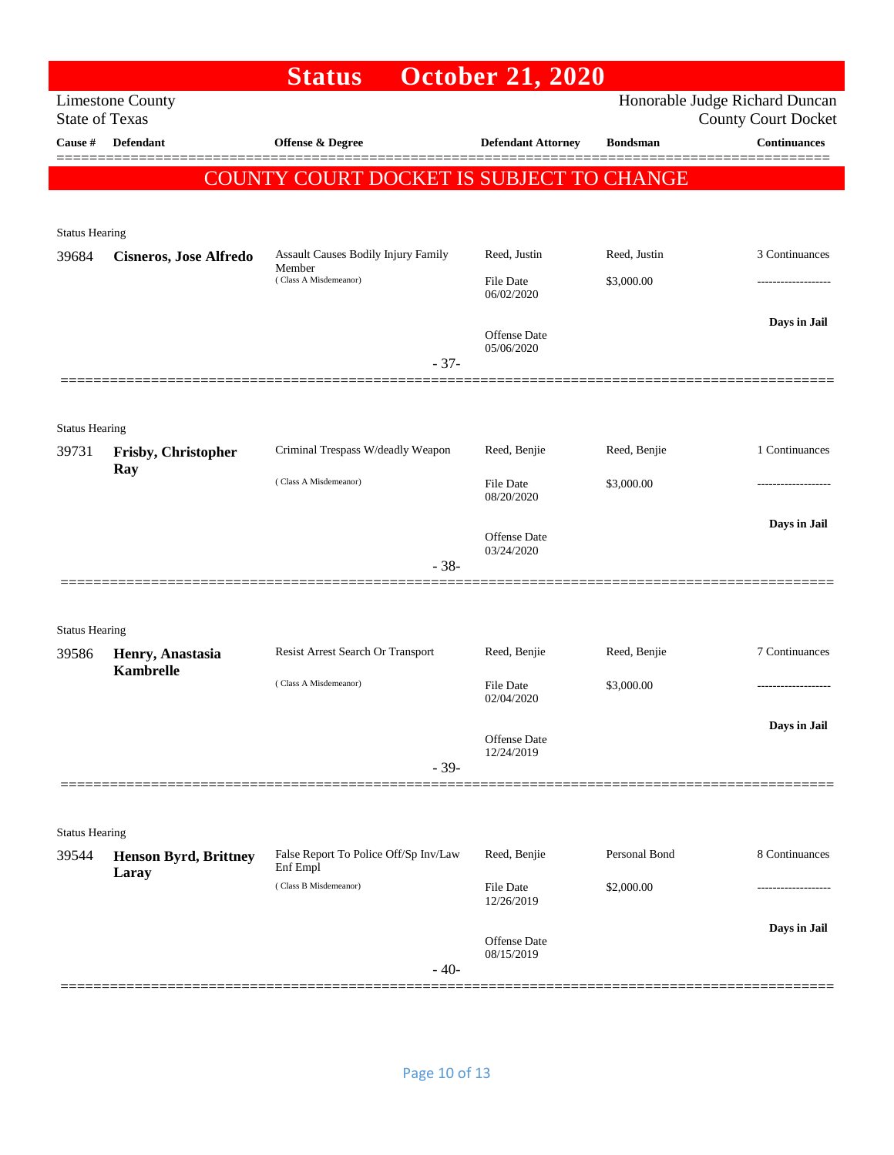| Honorable Judge Richard Duncan<br><b>Limestone County</b><br><b>State of Texas</b><br><b>County Court Docket</b><br><b>Continuances</b><br><b>Defendant</b><br>Offense & Degree<br>Cause #<br><b>Defendant Attorney</b><br><b>Bondsman</b><br>COUNTY COURT DOCKET IS SUBJECT TO CHANGE<br><b>Status Hearing</b><br>3 Continuances<br>Assault Causes Bodily Injury Family<br>Reed, Justin<br>Reed, Justin<br>39684<br><b>Cisneros, Jose Alfredo</b><br>Member<br>(Class A Misdemeanor)<br>\$3,000.00<br>File Date<br>06/02/2020<br>Days in Jail<br>Offense Date<br>05/06/2020<br>$-37-$<br><b>Status Hearing</b><br>1 Continuances<br>Criminal Trespass W/deadly Weapon<br>Reed, Benjie<br>Reed, Benjie<br>39731<br>Frisby, Christopher<br>Ray<br>(Class A Misdemeanor)<br>File Date<br>\$3,000.00<br>08/20/2020<br>Days in Jail<br>Offense Date<br>03/24/2020<br>$-38-$<br><b>Status Hearing</b><br>Resist Arrest Search Or Transport<br>Reed, Benjie<br>Reed, Benjie<br>7 Continuances<br>39586<br>Henry, Anastasia<br><b>Kambrelle</b><br>(Class A Misdemeanor)<br>File Date<br>\$3,000.00<br>-----------------<br>02/04/2020<br>Days in Jail<br><b>Offense Date</b><br>12/24/2019<br>$-39-$<br><b>Status Hearing</b><br>Personal Bond<br>8 Continuances<br>False Report To Police Off/Sp Inv/Law<br>Reed, Benjie<br>39544<br><b>Henson Byrd, Brittney</b><br>Enf Empl<br>Laray<br>(Class B Misdemeanor)<br>File Date<br>\$2,000.00<br>12/26/2019<br>Days in Jail<br>Offense Date<br>08/15/2019<br>$-40-$ |  | <b>Status</b> | <b>October 21, 2020</b> |  |
|-------------------------------------------------------------------------------------------------------------------------------------------------------------------------------------------------------------------------------------------------------------------------------------------------------------------------------------------------------------------------------------------------------------------------------------------------------------------------------------------------------------------------------------------------------------------------------------------------------------------------------------------------------------------------------------------------------------------------------------------------------------------------------------------------------------------------------------------------------------------------------------------------------------------------------------------------------------------------------------------------------------------------------------------------------------------------------------------------------------------------------------------------------------------------------------------------------------------------------------------------------------------------------------------------------------------------------------------------------------------------------------------------------------------------------------------------------------------------------------------------------------|--|---------------|-------------------------|--|
|                                                                                                                                                                                                                                                                                                                                                                                                                                                                                                                                                                                                                                                                                                                                                                                                                                                                                                                                                                                                                                                                                                                                                                                                                                                                                                                                                                                                                                                                                                             |  |               |                         |  |
|                                                                                                                                                                                                                                                                                                                                                                                                                                                                                                                                                                                                                                                                                                                                                                                                                                                                                                                                                                                                                                                                                                                                                                                                                                                                                                                                                                                                                                                                                                             |  |               |                         |  |
|                                                                                                                                                                                                                                                                                                                                                                                                                                                                                                                                                                                                                                                                                                                                                                                                                                                                                                                                                                                                                                                                                                                                                                                                                                                                                                                                                                                                                                                                                                             |  |               |                         |  |
|                                                                                                                                                                                                                                                                                                                                                                                                                                                                                                                                                                                                                                                                                                                                                                                                                                                                                                                                                                                                                                                                                                                                                                                                                                                                                                                                                                                                                                                                                                             |  |               |                         |  |
|                                                                                                                                                                                                                                                                                                                                                                                                                                                                                                                                                                                                                                                                                                                                                                                                                                                                                                                                                                                                                                                                                                                                                                                                                                                                                                                                                                                                                                                                                                             |  |               |                         |  |
|                                                                                                                                                                                                                                                                                                                                                                                                                                                                                                                                                                                                                                                                                                                                                                                                                                                                                                                                                                                                                                                                                                                                                                                                                                                                                                                                                                                                                                                                                                             |  |               |                         |  |
|                                                                                                                                                                                                                                                                                                                                                                                                                                                                                                                                                                                                                                                                                                                                                                                                                                                                                                                                                                                                                                                                                                                                                                                                                                                                                                                                                                                                                                                                                                             |  |               |                         |  |
|                                                                                                                                                                                                                                                                                                                                                                                                                                                                                                                                                                                                                                                                                                                                                                                                                                                                                                                                                                                                                                                                                                                                                                                                                                                                                                                                                                                                                                                                                                             |  |               |                         |  |
|                                                                                                                                                                                                                                                                                                                                                                                                                                                                                                                                                                                                                                                                                                                                                                                                                                                                                                                                                                                                                                                                                                                                                                                                                                                                                                                                                                                                                                                                                                             |  |               |                         |  |
|                                                                                                                                                                                                                                                                                                                                                                                                                                                                                                                                                                                                                                                                                                                                                                                                                                                                                                                                                                                                                                                                                                                                                                                                                                                                                                                                                                                                                                                                                                             |  |               |                         |  |
|                                                                                                                                                                                                                                                                                                                                                                                                                                                                                                                                                                                                                                                                                                                                                                                                                                                                                                                                                                                                                                                                                                                                                                                                                                                                                                                                                                                                                                                                                                             |  |               |                         |  |
|                                                                                                                                                                                                                                                                                                                                                                                                                                                                                                                                                                                                                                                                                                                                                                                                                                                                                                                                                                                                                                                                                                                                                                                                                                                                                                                                                                                                                                                                                                             |  |               |                         |  |
|                                                                                                                                                                                                                                                                                                                                                                                                                                                                                                                                                                                                                                                                                                                                                                                                                                                                                                                                                                                                                                                                                                                                                                                                                                                                                                                                                                                                                                                                                                             |  |               |                         |  |
|                                                                                                                                                                                                                                                                                                                                                                                                                                                                                                                                                                                                                                                                                                                                                                                                                                                                                                                                                                                                                                                                                                                                                                                                                                                                                                                                                                                                                                                                                                             |  |               |                         |  |
|                                                                                                                                                                                                                                                                                                                                                                                                                                                                                                                                                                                                                                                                                                                                                                                                                                                                                                                                                                                                                                                                                                                                                                                                                                                                                                                                                                                                                                                                                                             |  |               |                         |  |
|                                                                                                                                                                                                                                                                                                                                                                                                                                                                                                                                                                                                                                                                                                                                                                                                                                                                                                                                                                                                                                                                                                                                                                                                                                                                                                                                                                                                                                                                                                             |  |               |                         |  |
|                                                                                                                                                                                                                                                                                                                                                                                                                                                                                                                                                                                                                                                                                                                                                                                                                                                                                                                                                                                                                                                                                                                                                                                                                                                                                                                                                                                                                                                                                                             |  |               |                         |  |
|                                                                                                                                                                                                                                                                                                                                                                                                                                                                                                                                                                                                                                                                                                                                                                                                                                                                                                                                                                                                                                                                                                                                                                                                                                                                                                                                                                                                                                                                                                             |  |               |                         |  |
|                                                                                                                                                                                                                                                                                                                                                                                                                                                                                                                                                                                                                                                                                                                                                                                                                                                                                                                                                                                                                                                                                                                                                                                                                                                                                                                                                                                                                                                                                                             |  |               |                         |  |
|                                                                                                                                                                                                                                                                                                                                                                                                                                                                                                                                                                                                                                                                                                                                                                                                                                                                                                                                                                                                                                                                                                                                                                                                                                                                                                                                                                                                                                                                                                             |  |               |                         |  |
|                                                                                                                                                                                                                                                                                                                                                                                                                                                                                                                                                                                                                                                                                                                                                                                                                                                                                                                                                                                                                                                                                                                                                                                                                                                                                                                                                                                                                                                                                                             |  |               |                         |  |
|                                                                                                                                                                                                                                                                                                                                                                                                                                                                                                                                                                                                                                                                                                                                                                                                                                                                                                                                                                                                                                                                                                                                                                                                                                                                                                                                                                                                                                                                                                             |  |               |                         |  |
|                                                                                                                                                                                                                                                                                                                                                                                                                                                                                                                                                                                                                                                                                                                                                                                                                                                                                                                                                                                                                                                                                                                                                                                                                                                                                                                                                                                                                                                                                                             |  |               |                         |  |
|                                                                                                                                                                                                                                                                                                                                                                                                                                                                                                                                                                                                                                                                                                                                                                                                                                                                                                                                                                                                                                                                                                                                                                                                                                                                                                                                                                                                                                                                                                             |  |               |                         |  |
|                                                                                                                                                                                                                                                                                                                                                                                                                                                                                                                                                                                                                                                                                                                                                                                                                                                                                                                                                                                                                                                                                                                                                                                                                                                                                                                                                                                                                                                                                                             |  |               |                         |  |
|                                                                                                                                                                                                                                                                                                                                                                                                                                                                                                                                                                                                                                                                                                                                                                                                                                                                                                                                                                                                                                                                                                                                                                                                                                                                                                                                                                                                                                                                                                             |  |               |                         |  |
|                                                                                                                                                                                                                                                                                                                                                                                                                                                                                                                                                                                                                                                                                                                                                                                                                                                                                                                                                                                                                                                                                                                                                                                                                                                                                                                                                                                                                                                                                                             |  |               |                         |  |
|                                                                                                                                                                                                                                                                                                                                                                                                                                                                                                                                                                                                                                                                                                                                                                                                                                                                                                                                                                                                                                                                                                                                                                                                                                                                                                                                                                                                                                                                                                             |  |               |                         |  |
|                                                                                                                                                                                                                                                                                                                                                                                                                                                                                                                                                                                                                                                                                                                                                                                                                                                                                                                                                                                                                                                                                                                                                                                                                                                                                                                                                                                                                                                                                                             |  |               |                         |  |
|                                                                                                                                                                                                                                                                                                                                                                                                                                                                                                                                                                                                                                                                                                                                                                                                                                                                                                                                                                                                                                                                                                                                                                                                                                                                                                                                                                                                                                                                                                             |  |               |                         |  |
|                                                                                                                                                                                                                                                                                                                                                                                                                                                                                                                                                                                                                                                                                                                                                                                                                                                                                                                                                                                                                                                                                                                                                                                                                                                                                                                                                                                                                                                                                                             |  |               |                         |  |
|                                                                                                                                                                                                                                                                                                                                                                                                                                                                                                                                                                                                                                                                                                                                                                                                                                                                                                                                                                                                                                                                                                                                                                                                                                                                                                                                                                                                                                                                                                             |  |               |                         |  |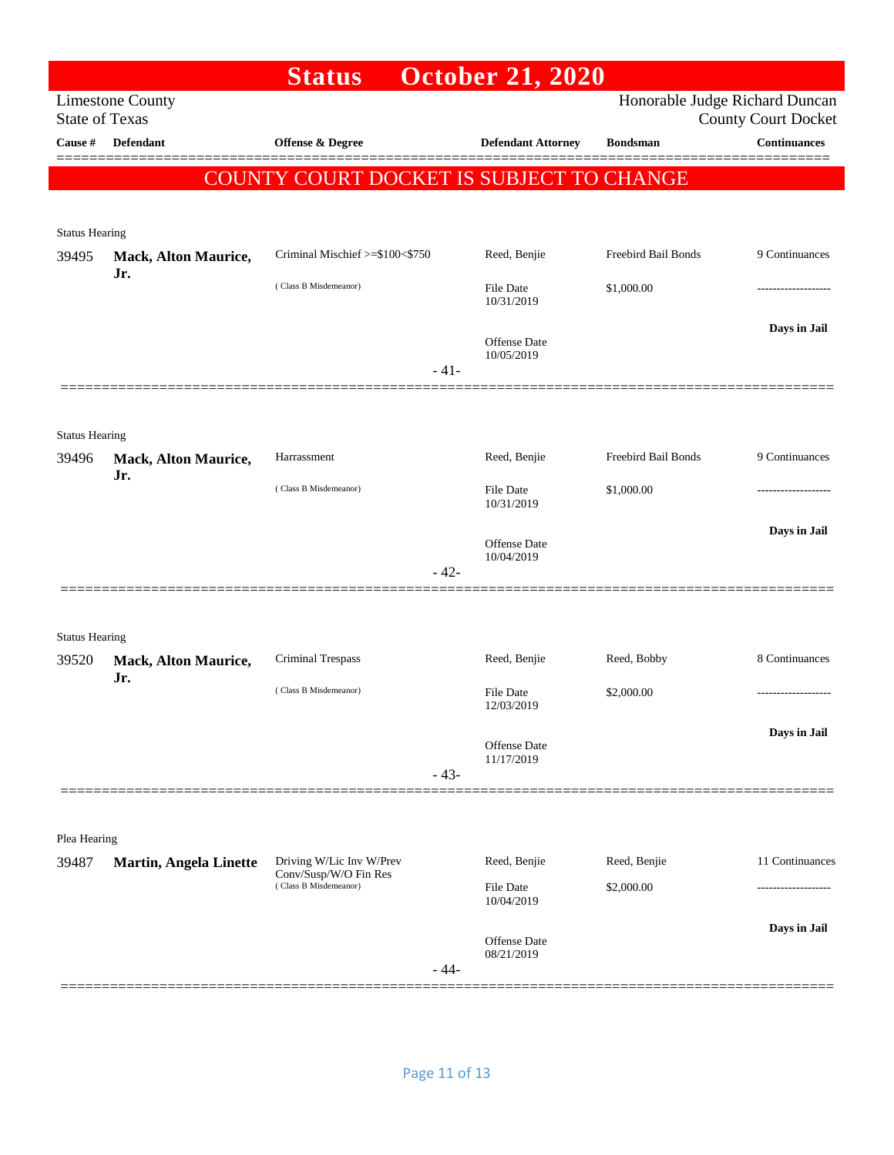|                       |                             | <b>Status</b>                                  |        | <b>October 21, 2020</b>    |                                |                            |
|-----------------------|-----------------------------|------------------------------------------------|--------|----------------------------|--------------------------------|----------------------------|
| <b>State of Texas</b> | <b>Limestone County</b>     |                                                |        |                            | Honorable Judge Richard Duncan | <b>County Court Docket</b> |
| Cause #               | <b>Defendant</b>            | <b>Offense &amp; Degree</b>                    |        | <b>Defendant Attorney</b>  | <b>Bondsman</b>                | <b>Continuances</b>        |
|                       |                             | COUNTY COURT DOCKET IS SUBJECT TO CHANGE       |        |                            |                                |                            |
|                       |                             |                                                |        |                            |                                |                            |
| <b>Status Hearing</b> |                             |                                                |        |                            |                                |                            |
| 39495                 | Mack, Alton Maurice,<br>Jr. | Criminal Mischief >=\$100<\$750                |        | Reed, Benjie               | Freebird Bail Bonds            | 9 Continuances             |
|                       |                             | (Class B Misdemeanor)                          |        | File Date<br>10/31/2019    | \$1,000.00                     | ---------------            |
|                       |                             |                                                |        | <b>Offense Date</b>        |                                | Days in Jail               |
|                       |                             |                                                | $-41-$ | 10/05/2019                 |                                |                            |
|                       |                             |                                                |        |                            |                                |                            |
| <b>Status Hearing</b> |                             |                                                |        |                            |                                |                            |
| 39496                 | Mack, Alton Maurice,<br>Jr. | Harrassment                                    |        | Reed, Benjie               | Freebird Bail Bonds            | 9 Continuances             |
|                       |                             | (Class B Misdemeanor)                          |        | File Date<br>10/31/2019    | \$1,000.00                     |                            |
|                       |                             |                                                |        | Offense Date               |                                | Days in Jail               |
|                       |                             |                                                | $-42-$ | 10/04/2019                 |                                |                            |
|                       |                             |                                                |        |                            |                                |                            |
| <b>Status Hearing</b> |                             |                                                |        |                            |                                |                            |
| 39520                 | Mack, Alton Maurice,        | Criminal Trespass                              |        | Reed, Benjie               | Reed, Bobby                    | 8 Continuances             |
|                       | Jr.                         | (Class B Misdemeanor)                          |        | File Date<br>12/03/2019    | \$2,000.00                     | ------------------         |
|                       |                             |                                                |        |                            |                                | Days in Jail               |
|                       |                             |                                                |        | Offense Date<br>11/17/2019 |                                |                            |
|                       |                             |                                                | $-43-$ |                            |                                |                            |
|                       |                             |                                                |        |                            |                                |                            |
| Plea Hearing<br>39487 | Martin, Angela Linette      | Driving W/Lic Inv W/Prev                       |        | Reed, Benjie               | Reed, Benjie                   | 11 Continuances            |
|                       |                             | Conv/Susp/W/O Fin Res<br>(Class B Misdemeanor) |        | File Date                  | \$2,000.00                     |                            |
|                       |                             |                                                |        | 10/04/2019                 |                                |                            |
|                       |                             |                                                |        | Offense Date<br>08/21/2019 |                                | Days in Jail               |
|                       |                             |                                                | $-44-$ |                            |                                |                            |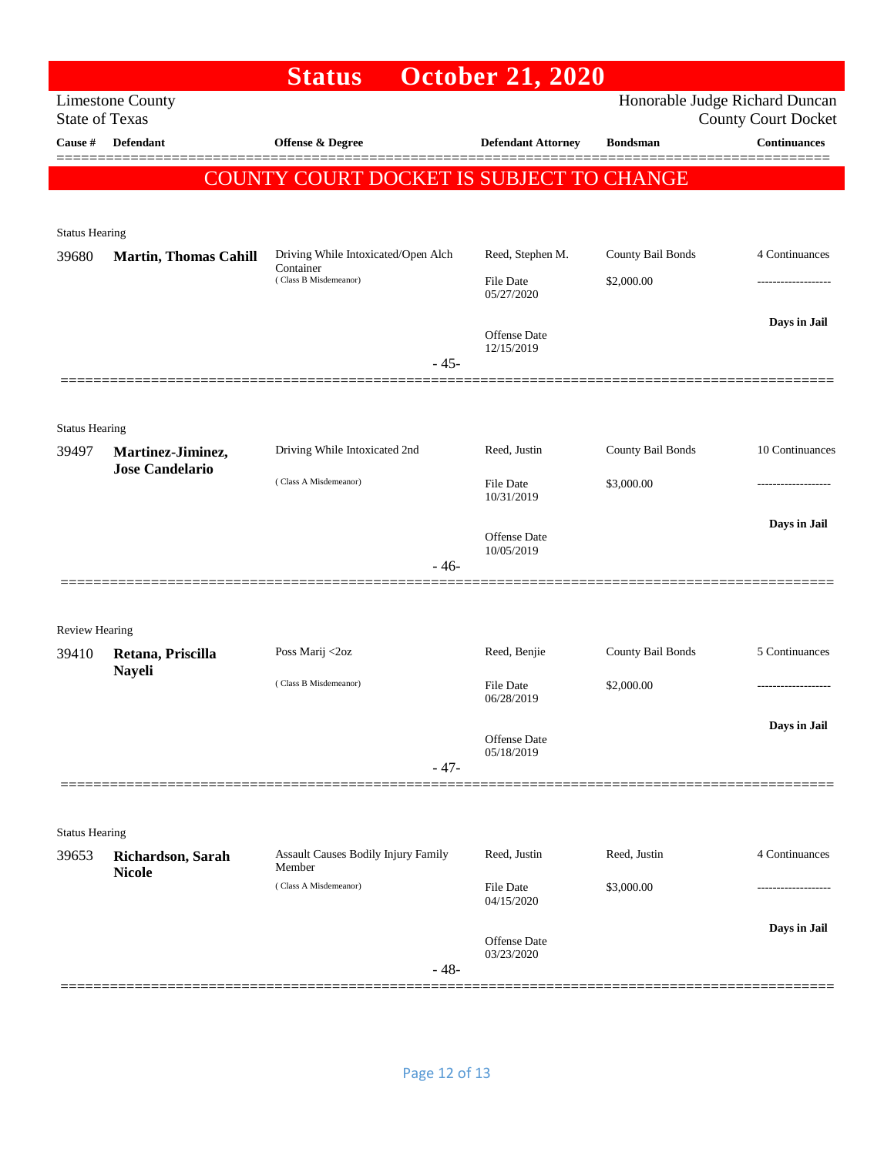|                       |                                             | <b>Status</b>                                    | <b>October 21, 2020</b>        |                   |                                                              |
|-----------------------|---------------------------------------------|--------------------------------------------------|--------------------------------|-------------------|--------------------------------------------------------------|
| <b>State of Texas</b> | <b>Limestone County</b>                     |                                                  |                                |                   | Honorable Judge Richard Duncan<br><b>County Court Docket</b> |
| Cause #               | <b>Defendant</b>                            | <b>Offense &amp; Degree</b>                      | <b>Defendant Attorney</b>      | <b>Bondsman</b>   | <b>Continuances</b>                                          |
|                       |                                             | COUNTY COURT DOCKET IS SUBJECT TO CHANGE         |                                |                   |                                                              |
|                       |                                             |                                                  |                                |                   |                                                              |
| <b>Status Hearing</b> |                                             |                                                  |                                |                   |                                                              |
| 39680                 | <b>Martin, Thomas Cahill</b>                | Driving While Intoxicated/Open Alch<br>Container | Reed, Stephen M.               | County Bail Bonds | 4 Continuances                                               |
|                       |                                             | (Class B Misdemeanor)                            | File Date<br>05/27/2020        | \$2,000.00        |                                                              |
|                       |                                             |                                                  |                                |                   | Days in Jail                                                 |
|                       |                                             |                                                  | Offense Date<br>12/15/2019     |                   |                                                              |
|                       |                                             | $-45-$                                           |                                |                   |                                                              |
|                       |                                             |                                                  |                                |                   |                                                              |
| <b>Status Hearing</b> |                                             |                                                  |                                |                   |                                                              |
| 39497                 | Martinez-Jiminez,<br><b>Jose Candelario</b> | Driving While Intoxicated 2nd                    | Reed, Justin                   | County Bail Bonds | 10 Continuances                                              |
|                       |                                             | (Class A Misdemeanor)                            | <b>File Date</b><br>10/31/2019 | \$3,000.00        | ---------------                                              |
|                       |                                             |                                                  |                                |                   | Days in Jail                                                 |
|                       |                                             |                                                  | Offense Date<br>10/05/2019     |                   |                                                              |
|                       |                                             | $-46-$                                           |                                |                   |                                                              |
|                       |                                             |                                                  |                                |                   |                                                              |
| <b>Review Hearing</b> |                                             |                                                  |                                |                   |                                                              |
| 39410                 | Retana, Priscilla<br><b>Nayeli</b>          | Poss Marij <2oz                                  | Reed, Benjie                   | County Bail Bonds | 5 Continuances                                               |
|                       |                                             | (Class B Misdemeanor)                            | File Date<br>06/28/2019        | \$2,000.00        |                                                              |
|                       |                                             |                                                  |                                |                   | Days in Jail                                                 |
|                       |                                             |                                                  | Offense Date<br>05/18/2019     |                   |                                                              |
|                       |                                             | $-47-$                                           |                                |                   |                                                              |
|                       |                                             |                                                  |                                |                   |                                                              |
| <b>Status Hearing</b> |                                             |                                                  |                                |                   |                                                              |
| 39653                 | Richardson, Sarah<br><b>Nicole</b>          | Assault Causes Bodily Injury Family<br>Member    | Reed, Justin                   | Reed, Justin      | 4 Continuances                                               |
|                       |                                             | (Class A Misdemeanor)                            | <b>File Date</b><br>04/15/2020 | \$3,000.00        |                                                              |
|                       |                                             |                                                  |                                |                   | Days in Jail                                                 |
|                       |                                             |                                                  | Offense Date<br>03/23/2020     |                   |                                                              |
|                       |                                             | $-48-$                                           |                                |                   |                                                              |